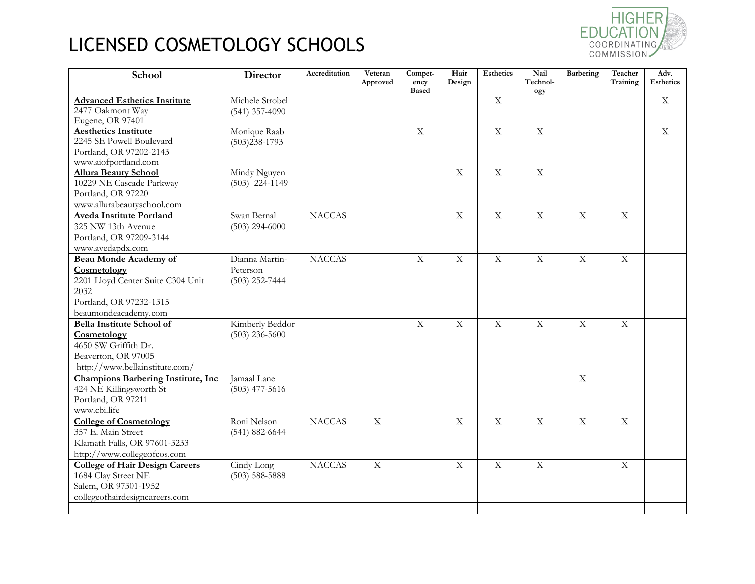

| School                                     | <b>Director</b>    | Accreditation | Veteran<br>Approved | Compet-<br>ency<br><b>Based</b> | Hair<br>Design          | <b>Esthetics</b> | Nail<br>Technol-<br>ogy | Barbering               | Teacher<br>Training | Adv.<br><b>Esthetics</b> |
|--------------------------------------------|--------------------|---------------|---------------------|---------------------------------|-------------------------|------------------|-------------------------|-------------------------|---------------------|--------------------------|
| <b>Advanced Esthetics Institute</b>        | Michele Strobel    |               |                     |                                 |                         | $\overline{X}$   |                         |                         |                     | $\mathbf X$              |
| 2477 Oakmont Way                           | $(541)$ 357-4090   |               |                     |                                 |                         |                  |                         |                         |                     |                          |
| Eugene, OR 97401                           |                    |               |                     |                                 |                         |                  |                         |                         |                     |                          |
| <b>Aesthetics Institute</b>                | Monique Raab       |               |                     | $\overline{X}$                  |                         | $\overline{X}$   | $\overline{X}$          |                         |                     | $\overline{X}$           |
| 2245 SE Powell Boulevard                   | $(503)238 - 1793$  |               |                     |                                 |                         |                  |                         |                         |                     |                          |
| Portland, OR 97202-2143                    |                    |               |                     |                                 |                         |                  |                         |                         |                     |                          |
| www.aiofportland.com                       |                    |               |                     |                                 |                         |                  |                         |                         |                     |                          |
| <b>Allura Beauty School</b>                | Mindy Nguyen       |               |                     |                                 | $\overline{X}$          | $\overline{X}$   | $\overline{X}$          |                         |                     |                          |
| 10229 NE Cascade Parkway                   | $(503)$ 224-1149   |               |                     |                                 |                         |                  |                         |                         |                     |                          |
| Portland, OR 97220                         |                    |               |                     |                                 |                         |                  |                         |                         |                     |                          |
| www.allurabeautyschool.com                 |                    |               |                     |                                 |                         |                  |                         |                         |                     |                          |
| <b>Aveda Institute Portland</b>            | Swan Bernal        | <b>NACCAS</b> |                     |                                 | $\overline{X}$          | $\overline{X}$   | $\overline{X}$          | $\overline{X}$          | $\overline{X}$      |                          |
| 325 NW 13th Avenue                         | $(503)$ 294-6000   |               |                     |                                 |                         |                  |                         |                         |                     |                          |
| Portland, OR 97209-3144                    |                    |               |                     |                                 |                         |                  |                         |                         |                     |                          |
| www.avedapdx.com                           |                    |               |                     |                                 |                         |                  |                         |                         |                     |                          |
| <b>Beau Monde Academy of</b>               | Dianna Martin-     | <b>NACCAS</b> |                     | $\overline{\mathbf{X}}$         | $\overline{\mathrm{X}}$ | $\overline{X}$   | $\overline{X}$          | $\overline{\mathbf{X}}$ | $\overline{X}$      |                          |
| Cosmetology                                | Peterson           |               |                     |                                 |                         |                  |                         |                         |                     |                          |
| 2201 Lloyd Center Suite C304 Unit          | $(503)$ 252-7444   |               |                     |                                 |                         |                  |                         |                         |                     |                          |
| 2032                                       |                    |               |                     |                                 |                         |                  |                         |                         |                     |                          |
| Portland, OR 97232-1315                    |                    |               |                     |                                 |                         |                  |                         |                         |                     |                          |
| beaumondeacademy.com                       |                    |               |                     |                                 |                         |                  |                         |                         |                     |                          |
| <b>Bella Institute School of</b>           | Kimberly Beddor    |               |                     | $\overline{X}$                  | $\overline{X}$          | $\overline{X}$   | $\overline{X}$          | $\overline{X}$          | $\overline{X}$      |                          |
| Cosmetology                                | $(503)$ 236-5600   |               |                     |                                 |                         |                  |                         |                         |                     |                          |
| 4650 SW Griffith Dr.                       |                    |               |                     |                                 |                         |                  |                         |                         |                     |                          |
| Beaverton, OR 97005                        |                    |               |                     |                                 |                         |                  |                         |                         |                     |                          |
| http://www.bellainstitute.com/             |                    |               |                     |                                 |                         |                  |                         |                         |                     |                          |
| <b>Champions Barbering Institute, Inc.</b> | Jamaal Lane        |               |                     |                                 |                         |                  |                         | $\mathbf X$             |                     |                          |
| 424 NE Killingsworth St                    | $(503)$ 477-5616   |               |                     |                                 |                         |                  |                         |                         |                     |                          |
| Portland, OR 97211                         |                    |               |                     |                                 |                         |                  |                         |                         |                     |                          |
| www.cbi.life                               |                    |               |                     |                                 |                         |                  |                         |                         |                     |                          |
| <b>College of Cosmetology</b>              | Roni Nelson        | <b>NACCAS</b> | $\overline{X}$      |                                 | $\overline{X}$          | $\overline{X}$   | $\overline{X}$          | $\overline{X}$          | $\overline{X}$      |                          |
| 357 E. Main Street                         | $(541) 882 - 6644$ |               |                     |                                 |                         |                  |                         |                         |                     |                          |
| Klamath Falls, OR 97601-3233               |                    |               |                     |                                 |                         |                  |                         |                         |                     |                          |
| http://www.collegeofcos.com                |                    |               |                     |                                 |                         |                  |                         |                         |                     |                          |
| <b>College of Hair Design Careers</b>      | Cindy Long         | <b>NACCAS</b> | $\overline{X}$      |                                 | $\overline{X}$          | $\overline{X}$   | $\overline{X}$          |                         | $\overline{X}$      |                          |
| 1684 Clay Street NE                        | $(503)$ 588-5888   |               |                     |                                 |                         |                  |                         |                         |                     |                          |
| Salem, OR 97301-1952                       |                    |               |                     |                                 |                         |                  |                         |                         |                     |                          |
| collegeofhairdesigncareers.com             |                    |               |                     |                                 |                         |                  |                         |                         |                     |                          |
|                                            |                    |               |                     |                                 |                         |                  |                         |                         |                     |                          |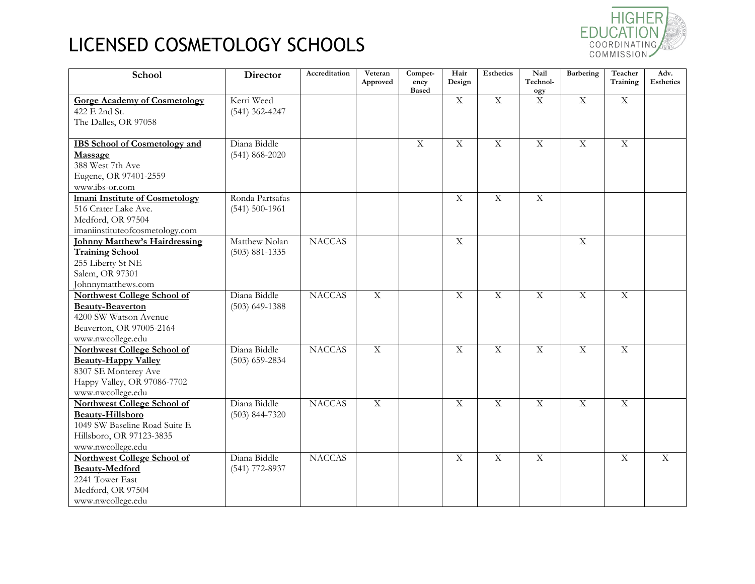

| School                                | <b>Director</b>    | Accreditation | Veteran<br>Approved | Compet-<br>ency | Hair<br>Design | <b>Esthetics</b> | Nail<br>Technol- | Barbering               | Teacher<br>Training | Adv.<br><b>Esthetics</b> |
|---------------------------------------|--------------------|---------------|---------------------|-----------------|----------------|------------------|------------------|-------------------------|---------------------|--------------------------|
|                                       |                    |               |                     | <b>Based</b>    |                |                  | ogy              |                         |                     |                          |
| <b>Gorge Academy of Cosmetology</b>   | Kerri Weed         |               |                     |                 | $\overline{X}$ | $\overline{X}$   | $\mathbf X$      | $\overline{X}$          | $\overline{X}$      |                          |
| 422 E 2nd St.                         | $(541)$ 362-4247   |               |                     |                 |                |                  |                  |                         |                     |                          |
| The Dalles, OR 97058                  |                    |               |                     |                 |                |                  |                  |                         |                     |                          |
| <b>IBS</b> School of Cosmetology and  | Diana Biddle       |               |                     | $\overline{X}$  | $\overline{X}$ | $\overline{X}$   | $\overline{X}$   | $\overline{\mathrm{X}}$ | $\mathbf X$         |                          |
| Massage                               | $(541) 868 - 2020$ |               |                     |                 |                |                  |                  |                         |                     |                          |
| 388 West 7th Ave                      |                    |               |                     |                 |                |                  |                  |                         |                     |                          |
| Eugene, OR 97401-2559                 |                    |               |                     |                 |                |                  |                  |                         |                     |                          |
| www.ibs-or.com                        |                    |               |                     |                 |                |                  |                  |                         |                     |                          |
| <b>Imani Institute of Cosmetology</b> | Ronda Partsafas    |               |                     |                 | $\overline{X}$ | $\overline{X}$   | $\overline{X}$   |                         |                     |                          |
| 516 Crater Lake Ave.                  | $(541) 500 - 1961$ |               |                     |                 |                |                  |                  |                         |                     |                          |
| Medford, OR 97504                     |                    |               |                     |                 |                |                  |                  |                         |                     |                          |
| imaniinstituteofcosmetology.com       |                    |               |                     |                 |                |                  |                  |                         |                     |                          |
| <b>Johnny Matthew's Hairdressing</b>  | Matthew Nolan      | <b>NACCAS</b> |                     |                 | $\overline{X}$ |                  |                  | $\overline{X}$          |                     |                          |
| <b>Training School</b>                | $(503) 881 - 1335$ |               |                     |                 |                |                  |                  |                         |                     |                          |
| 255 Liberty St NE                     |                    |               |                     |                 |                |                  |                  |                         |                     |                          |
| Salem, OR 97301                       |                    |               |                     |                 |                |                  |                  |                         |                     |                          |
| Johnnymatthews.com                    |                    |               |                     |                 |                |                  |                  |                         |                     |                          |
| <b>Northwest College School of</b>    | Diana Biddle       | <b>NACCAS</b> | $\overline{X}$      |                 | $\overline{X}$ | $\overline{X}$   | $\overline{X}$   | $\overline{X}$          | $\overline{X}$      |                          |
| <b>Beauty-Beaverton</b>               | $(503)$ 649-1388   |               |                     |                 |                |                  |                  |                         |                     |                          |
| 4200 SW Watson Avenue                 |                    |               |                     |                 |                |                  |                  |                         |                     |                          |
| Beaverton, OR 97005-2164              |                    |               |                     |                 |                |                  |                  |                         |                     |                          |
| www.nwcollege.edu                     |                    |               |                     |                 |                |                  |                  |                         |                     |                          |
| Northwest College School of           | Diana Biddle       | <b>NACCAS</b> | $\overline{X}$      |                 | $\overline{X}$ | $\overline{X}$   | $\overline{X}$   | $\overline{X}$          | $\overline{X}$      |                          |
| <b>Beauty-Happy Valley</b>            | $(503)$ 659-2834   |               |                     |                 |                |                  |                  |                         |                     |                          |
| 8307 SE Monterey Ave                  |                    |               |                     |                 |                |                  |                  |                         |                     |                          |
| Happy Valley, OR 97086-7702           |                    |               |                     |                 |                |                  |                  |                         |                     |                          |
| www.nwcollege.edu                     |                    |               |                     |                 |                |                  |                  |                         |                     |                          |
| Northwest College School of           | Diana Biddle       | <b>NACCAS</b> | $\overline{X}$      |                 | $\overline{X}$ | $\overline{X}$   | $\overline{X}$   | $\overline{X}$          | $\overline{X}$      |                          |
| <b>Beauty-Hillsboro</b>               | $(503) 844 - 7320$ |               |                     |                 |                |                  |                  |                         |                     |                          |
| 1049 SW Baseline Road Suite E         |                    |               |                     |                 |                |                  |                  |                         |                     |                          |
| Hillsboro, OR 97123-3835              |                    |               |                     |                 |                |                  |                  |                         |                     |                          |
| www.nwcollege.edu                     |                    |               |                     |                 |                |                  |                  |                         |                     |                          |
| <b>Northwest College School of</b>    | Diana Biddle       | <b>NACCAS</b> |                     |                 | $\overline{X}$ | $\overline{X}$   | $\overline{X}$   |                         | $\overline{X}$      | $\overline{X}$           |
| <b>Beauty-Medford</b>                 | (541) 772-8937     |               |                     |                 |                |                  |                  |                         |                     |                          |
| 2241 Tower East                       |                    |               |                     |                 |                |                  |                  |                         |                     |                          |
| Medford, OR 97504                     |                    |               |                     |                 |                |                  |                  |                         |                     |                          |
| www.nwcollege.edu                     |                    |               |                     |                 |                |                  |                  |                         |                     |                          |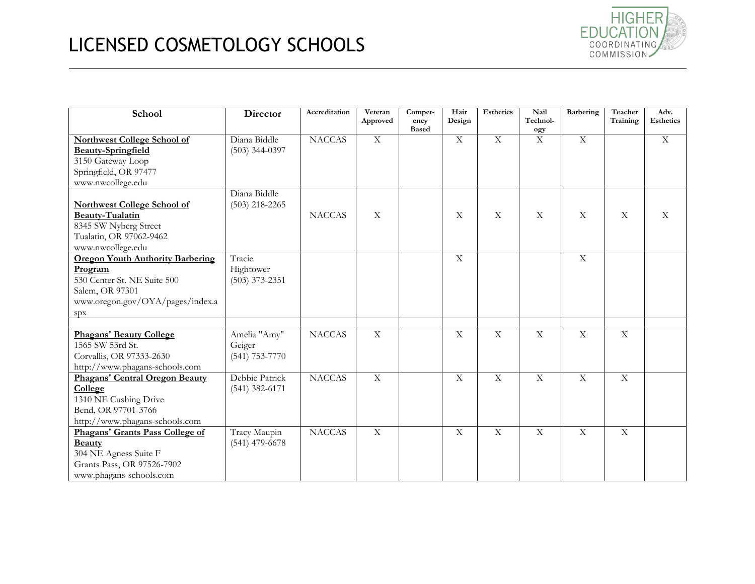

| School                                                                         | <b>Director</b>  | Accreditation | Veteran<br>Approved | Compet-<br>ency | Hair<br>Design | <b>Esthetics</b>          | Nail<br>Technol-          | <b>Barbering</b>          | Teacher<br>Training       | Adv.<br><b>Esthetics</b> |
|--------------------------------------------------------------------------------|------------------|---------------|---------------------|-----------------|----------------|---------------------------|---------------------------|---------------------------|---------------------------|--------------------------|
|                                                                                |                  |               |                     | <b>Based</b>    |                |                           | ogy                       |                           |                           |                          |
| <b>Northwest College School of</b>                                             | Diana Biddle     | <b>NACCAS</b> | $\overline{X}$      |                 | $\overline{X}$ | $\overline{X}$            | $\overline{X}$            | $\overline{X}$            |                           | $\overline{X}$           |
| <b>Beauty-Springfield</b>                                                      | $(503)$ 344-0397 |               |                     |                 |                |                           |                           |                           |                           |                          |
| 3150 Gateway Loop                                                              |                  |               |                     |                 |                |                           |                           |                           |                           |                          |
| Springfield, OR 97477                                                          |                  |               |                     |                 |                |                           |                           |                           |                           |                          |
| www.nwcollege.edu                                                              |                  |               |                     |                 |                |                           |                           |                           |                           |                          |
|                                                                                | Diana Biddle     |               |                     |                 |                |                           |                           |                           |                           |                          |
| <b>Northwest College School of</b>                                             | $(503)$ 218-2265 |               |                     |                 |                |                           |                           |                           |                           |                          |
| Beauty-Tualatin                                                                |                  | <b>NACCAS</b> | X                   |                 | $\mathbf X$    | $\boldsymbol{\mathrm{X}}$ | $\boldsymbol{\mathrm{X}}$ | $\boldsymbol{\mathrm{X}}$ | $\boldsymbol{\mathrm{X}}$ | X                        |
| 8345 SW Nyberg Street                                                          |                  |               |                     |                 |                |                           |                           |                           |                           |                          |
| Tualatin, OR 97062-9462                                                        |                  |               |                     |                 |                |                           |                           |                           |                           |                          |
| www.nwcollege.edu                                                              |                  |               |                     |                 |                |                           |                           |                           |                           |                          |
| <b>Oregon Youth Authority Barbering</b>                                        | Tracie           |               |                     |                 | X              |                           |                           | $\overline{X}$            |                           |                          |
| Program                                                                        | Hightower        |               |                     |                 |                |                           |                           |                           |                           |                          |
| 530 Center St. NE Suite 500                                                    | $(503)$ 373-2351 |               |                     |                 |                |                           |                           |                           |                           |                          |
| Salem, OR 97301                                                                |                  |               |                     |                 |                |                           |                           |                           |                           |                          |
| www.oregon.gov/OYA/pages/index.a                                               |                  |               |                     |                 |                |                           |                           |                           |                           |                          |
| spx                                                                            |                  |               |                     |                 |                |                           |                           |                           |                           |                          |
|                                                                                |                  |               |                     |                 |                |                           |                           |                           |                           |                          |
| <b>Phagans' Beauty College</b>                                                 | Amelia "Amy"     | <b>NACCAS</b> | $\overline{X}$      |                 | $\overline{X}$ | $\overline{X}$            | $\overline{X}$            | $\overline{X}$            | X                         |                          |
| 1565 SW 53rd St.                                                               | Geiger           |               |                     |                 |                |                           |                           |                           |                           |                          |
| Corvallis, OR 97333-2630                                                       | $(541)$ 753-7770 |               |                     |                 |                |                           |                           |                           |                           |                          |
| http://www.phagans-schools.com                                                 |                  |               |                     |                 |                |                           |                           |                           |                           |                          |
| Phagans' Central Oregon Beauty                                                 | Debbie Patrick   | <b>NACCAS</b> | $\mathbf X$         |                 | $\mathbf X$    | $\mathbf X$               | $\mathbf X$               | $\mathbf X$               | X                         |                          |
| College                                                                        | $(541)$ 382-6171 |               |                     |                 |                |                           |                           |                           |                           |                          |
| 1310 NE Cushing Drive                                                          |                  |               |                     |                 |                |                           |                           |                           |                           |                          |
| Bend, OR 97701-3766                                                            |                  |               |                     |                 |                |                           |                           |                           |                           |                          |
| http://www.phagans-schools.com                                                 |                  |               |                     |                 |                |                           |                           |                           |                           |                          |
| Phagans' Grants Pass College of                                                | Tracy Maupin     | <b>NACCAS</b> | $\mathbf X$         |                 | $\mathbf X$    | $\mathbf X$               | $\mathbf X$               | $\mathbf X$               | $\mathbf X$               |                          |
| <b>Beauty</b>                                                                  | $(541)$ 479-6678 |               |                     |                 |                |                           |                           |                           |                           |                          |
|                                                                                |                  |               |                     |                 |                |                           |                           |                           |                           |                          |
|                                                                                |                  |               |                     |                 |                |                           |                           |                           |                           |                          |
|                                                                                |                  |               |                     |                 |                |                           |                           |                           |                           |                          |
| 304 NE Agness Suite F<br>Grants Pass, OR 97526-7902<br>www.phagans-schools.com |                  |               |                     |                 |                |                           |                           |                           |                           |                          |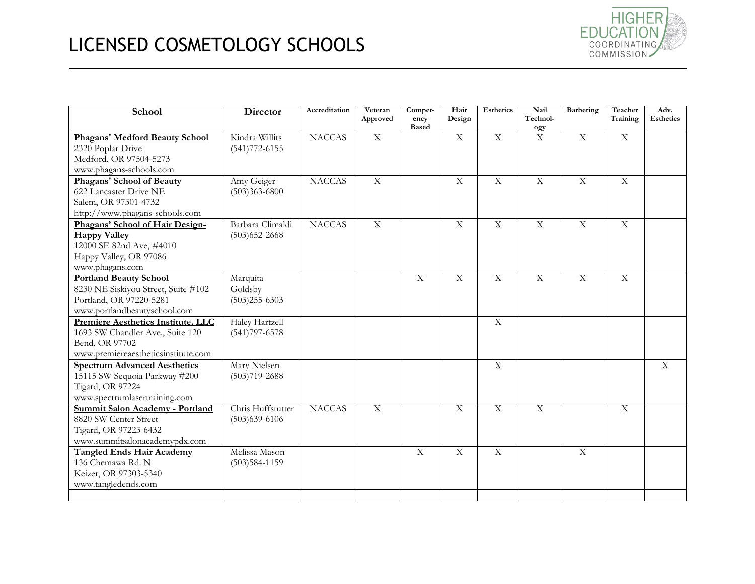

| School                                                                                                                          | Director                                 | Accreditation | Veteran<br>Approved | Compet-<br>ency<br><b>Based</b> | Hair<br>Design | <b>Esthetics</b>        | Nail<br>Technol-<br>ogy | <b>Barbering</b> | Teacher<br>Training     | Adv.<br><b>Esthetics</b> |
|---------------------------------------------------------------------------------------------------------------------------------|------------------------------------------|---------------|---------------------|---------------------------------|----------------|-------------------------|-------------------------|------------------|-------------------------|--------------------------|
| Phagans' Medford Beauty School<br>2320 Poplar Drive<br>Medford, OR 97504-5273<br>www.phagans-schools.com                        | Kindra Willits<br>$(541)772 - 6155$      | <b>NACCAS</b> | $\mathbf X$         |                                 | X              | $\overline{X}$          | $\mathbf X$             | $\mathbf X$      | $\mathbf X$             |                          |
| <b>Phagans' School of Beauty</b><br>622 Lancaster Drive NE<br>Salem, OR 97301-4732<br>http://www.phagans-schools.com            | Amy Geiger<br>$(503)363 - 6800$          | <b>NACCAS</b> | $\overline{X}$      |                                 | $\overline{X}$ | $\overline{X}$          | $\overline{X}$          | $\overline{X}$   | $\mathbf X$             |                          |
| Phagans' School of Hair Design-<br><b>Happy Valley</b><br>12000 SE 82nd Ave, #4010<br>Happy Valley, OR 97086<br>www.phagans.com | Barbara Climaldi<br>$(503)$ 652-2668     | <b>NACCAS</b> | $\overline{X}$      |                                 | $\mathbf X$    | $\overline{\mathrm{X}}$ | $\overline{X}$          | $\overline{X}$   | $\mathbf X$             |                          |
| <b>Portland Beauty School</b><br>8230 NE Siskiyou Street, Suite #102<br>Portland, OR 97220-5281<br>www.portlandbeautyschool.com | Marquita<br>Goldsby<br>$(503)255 - 6303$ |               |                     | $\overline{X}$                  | $\overline{X}$ | $\overline{\mathbf{X}}$ | $\overline{\mathbf{X}}$ | $\overline{X}$   | $\overline{\mathbf{X}}$ |                          |
| Premiere Aesthetics Institute, LLC<br>1693 SW Chandler Ave., Suite 120<br>Bend, OR 97702<br>www.premiereaestheticsinstitute.com | Haley Hartzell<br>$(541)797 - 6578$      |               |                     |                                 |                | $\overline{\mathbf{X}}$ |                         |                  |                         |                          |
| <b>Spectrum Advanced Aesthetics</b><br>15115 SW Sequoia Parkway #200<br>Tigard, OR 97224<br>www.spectrumlasertraining.com       | Mary Nielsen<br>$(503)719 - 2688$        |               |                     |                                 |                | $\overline{X}$          |                         |                  |                         | $\mathbf{X}$             |
| Summit Salon Academy - Portland<br>8820 SW Center Street<br>Tigard, OR 97223-6432<br>www.summitsalonacademypdx.com              | Chris Huffstutter<br>$(503)$ 639-6106    | <b>NACCAS</b> | X                   |                                 | $\mathbf X$    | $\overline{\mathrm{X}}$ | $\mathbf X$             |                  | $\mathbf X$             |                          |
| <b>Tangled Ends Hair Academy</b><br>136 Chemawa Rd. N<br>Keizer, OR 97303-5340<br>www.tangledends.com                           | Melissa Mason<br>$(503)584-1159$         |               |                     | $\overline{X}$                  | $\overline{X}$ | $\overline{X}$          |                         | $\overline{X}$   |                         |                          |